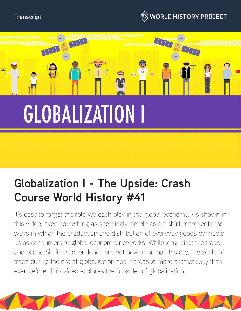



# **Globalization I - The Upside: Crash Course World History #41**

It's easy to forget the role we each play in the global economy. As shown in this video, even something as seemingly simple as a t-shirt represents the ways in which the production and distribution of everyday goods connects us as consumers to global economic networks. While long-distance trade and economic interdependence are not new in human history, the scale of trade during the era of globalization has increased more dramatically than ever before. This video explores the "upside" of globalization.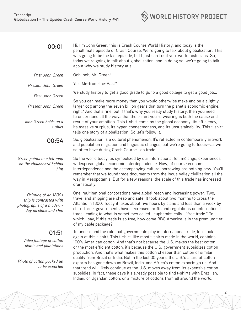

2

| 00:01                                                                                                     | Hi, I'm John Green, this is Crash Course World History, and today is the<br>penultimate episode of Crash Course. We're going to talk about globalization. This<br>was going to be the last episode, but I just can't quit you, world historians. So,<br>today we're going to talk about globalization, and in doing so, we're going to talk<br>about why we study history at all.                                                                                                                                                                                                                                                                                                                                                                                                                                                                               |
|-----------------------------------------------------------------------------------------------------------|-----------------------------------------------------------------------------------------------------------------------------------------------------------------------------------------------------------------------------------------------------------------------------------------------------------------------------------------------------------------------------------------------------------------------------------------------------------------------------------------------------------------------------------------------------------------------------------------------------------------------------------------------------------------------------------------------------------------------------------------------------------------------------------------------------------------------------------------------------------------|
| Past John Green                                                                                           | Ooh, ooh, Mr. Green! -                                                                                                                                                                                                                                                                                                                                                                                                                                                                                                                                                                                                                                                                                                                                                                                                                                          |
| Present John Green                                                                                        | Yes, Me-from-the-Past?                                                                                                                                                                                                                                                                                                                                                                                                                                                                                                                                                                                                                                                                                                                                                                                                                                          |
| Past John Green                                                                                           | We study history to get a good grade to go to a good college to get a good job                                                                                                                                                                                                                                                                                                                                                                                                                                                                                                                                                                                                                                                                                                                                                                                  |
| Present John Green                                                                                        | So you can make more money than you would otherwise make and be a slightly<br>larger cog among the seven billion gears that turn the planet's economic engine,<br>right? And that's fine, but if that's why you really study history, then you need<br>to understand all the ways that the t-shirt you're wearing is both the cause and<br>result of your ambition. This t-shirt contains the global economy: its efficiency,<br>its massive surplus, its hyper-connectedness, and its unsustainability. This t-shirt<br>tells one story of globalization. So let's follow it.                                                                                                                                                                                                                                                                                  |
| John Green holds up a<br>t-shirt                                                                          |                                                                                                                                                                                                                                                                                                                                                                                                                                                                                                                                                                                                                                                                                                                                                                                                                                                                 |
| 00:54                                                                                                     | So, globalization is a cultural phenomenon. It's reflected in contemporary artwork<br>and population migration and linguistic changes, but we're going to focus-as we<br>so often have during Crash Course-on trade.                                                                                                                                                                                                                                                                                                                                                                                                                                                                                                                                                                                                                                            |
| Green points to a felt map<br>on the chalkboard behind<br>him                                             | So the world today, as symbolized by our international felt mèlange, experiences<br>widespread global economic interdependence. Now, of course economic<br>interdependence and the accompanying cultural borrowing are nothing new. You'll<br>remember that we found trade documents from the Indus Valley civilization all the<br>way in Mesopotamia. But for a few reasons, the scale of this trade has increased<br>dramatically.                                                                                                                                                                                                                                                                                                                                                                                                                            |
| Painting of an 1800s<br>ship is contrasted with<br>photographs of a modern-<br>day airplane and ship      | One, multinational corporations have global reach and increasing power. Two,<br>travel and shipping are cheap and safe. It took about two months to cross the<br>Atlantic in 1800. Today it takes about five hours by plane and less than a week by<br>ship. Three, governments have decreased tariffs and regulations on international<br>trade, leading to what is sometimes called-euphemistically-"free trade." To<br>which I say, if this trade is so free, how come BBC America is in the premium tier<br>of my cable package?                                                                                                                                                                                                                                                                                                                            |
| 01:51<br>Video footage of cotton<br>plants and plantations<br>Photo of cotton packed up<br>to be exported | To understand the role that governments play in international trade, let's look<br>again at this t-shirt. This t-shirt, like most t-shirts made in the world, contains<br>100% American cotton. And that's not because the U.S. makes the best cotton<br>or the most efficient cotton, it's because the U.S. government subsidizes cotton<br>production. And that's what makes this cotton cheaper than cotton of similar<br>quality from Brazil or India. But in the last 30 years, the U.S.'s share of cotton<br>exports has gone down as Brazil, India, and Africa's cotton exports go up. And<br>that trend will likely continue as the U.S. moves away from its expensive cotton<br>subsidies. In fact, these days it's already possible to find t-shirts with Brazilian,<br>Indian, or Ugandan cotton, or a mixture of cottons from all around the world. |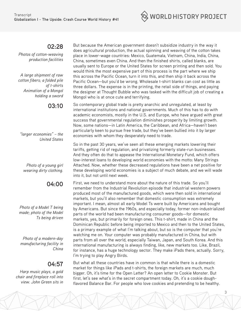

#### **02:28**

*Photos of cotton-weaving production facilities*

*A large shipment of raw cotton fibers; a folded pile of t-shirts Animation of a Mongol holding a sword*

## **03:10**

*"larger economies" – the United States*

*Photo of a young girl wearing dirty clothing.*

## **04:00**

*Photo of a Model T being made; photo of the Model Ts being driven*

*Photo of a modern-day manufacturing facility in China*

## **04:57**

*Harp music plays, a gold chair and fireplace roll into view. John Green sits in* 

But because the American government doesn't subsidize industry in the way it does agricultural production, the actual spinning and weaving of the cotton takes place in lower-wage countries: Mexico, Guatemala, Vietnam, China, India, China, China, sometimes even China. And then the finished shirts, called blanks, are usually sent to Europe or the United States for screen printing and then sold. You would think the most expensive part of this process is the part where we ship this across the Pacific Ocean, turn it into this, and then ship it back across the Pacific Ocean—but you'd be wrong. Wholesale t-shirt blanks can cost as little as three dollars. The expense is in the printing, the retail side of things, and paying the designer at Thought Bubble who was tasked with the difficult job of creating a Mongol who is at once cute and terrifying.

So contemporary global trade is pretty anarchic and unregulated, at least by international institutions and national governments. Much of this has to do with academic economists, mostly in the U.S. and Europe, who have argued with great success that governmental regulation diminishes prosperity by limiting growth. Now, some nations—in Latin America, the Caribbean, and Africa—haven't been particularly keen to pursue free trade, but they've been bullied into it by larger economies with whom they desperately need to trade.

So in the past 30 years, we've seen all these emerging markets lowering their tariffs, getting rid of regulation, and privatizing formerly state-run businesses. And they often do that to appease the International Monetary Fund, which offers low-interest loans to developing world economies with the motto: Many Strings Attached. Now, whether these decreased regulations have been a net positive for these developing world economies is a subject of much debate, and we will wade into it, but not until next week.

First, we need to understand more about the nature of this trade. So you'll remember from the Industrial Revolution episode that industrial western powers produced most of the manufactured goods, which were then sold in international markets, but you'll also remember that domestic consumption was extremely important. I mean, almost all early Model Ts were built by Americans and bought by Americans. But since the 1960s, and especially today, former non-industrialized parts of the world had been manufacturing consumer goods—for domestic markets, yes, but primarily for foreign ones. This t-shirt, made in China and the Dominican Republic before being imported to Mexico and then to the United States, is a primary example of what I'm talking about, but so is the computer that you're watching me on. Your computer was probably manufactured in China, but with parts from all over the world, especially Taiwan, Japan, and South Korea. And this international manufacturing is always finding, like, new markets too. Like, Brazil, for instance, has a huge technology sector. They make iPads there, actually. Sorry, I'm trying to play Angry Birds.

But what all these countries have in common is that while there is a domestic market for things like iPads and t-shirts, the foreign markets are much, much bigger. Oh, it's time for the Open Letter? An open letter to Cookie Monster. But first, let's see what's in the secret compartment today. Oh, it's a cookie doughflavored Balance Bar. For people who love cookies and pretending to be healthy.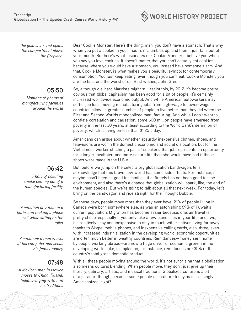

*the gold chair and opens the compartment above the fireplace.*

# **05:50**

*Montage of photos of manufacturing facilities around the world*

# **06:42**

*Photo of polluting smoke coming out of a manufacturing facility*

*Animation of a man in a bathroom making a phone call while sitting on the toilet*

*Animation: a man works at his computer and sends his family money*

## **07:48**

*A Mexican man in Mexico moves to China, Russia, India, bringing with him his traditions* Dear Cookie Monster, Here's the thing, man, you don't have a stomach. That's why when you put a cookie in your mouth, it crumbles up, and then it just falls out of your mouth. But here's what fascinates me, Cookie Monster. I believe you when you say you love cookies. It doesn't matter that you can't actually eat cookies because where you would have a stomach, you instead have someone's arm. And that, Cookie Monster, is what makes you a beautiful symbol for contemporary consumption. You just keep eating, even though you can't eat. Cookie Monster, you are the best and the worst of us. Best wishes, John Green.

So, although die-hard Marxists might still resist this, by 2012 it's become pretty obvious that global capitalism has been good for a lot of people. It's certainly increased worldwide economic output. And while American autoworkers may suffer job loss, moving manufacturing jobs from high-wage to lower-wage countries allows a greater number of people to live better than they did when the First and Second Worlds monopolized manufacturing. And while I don't want to conflate correlation and causation, some 600 million people have emerged from poverty in the last 30 years, at least according to the World Bank's definition of poverty, which is living on less than \$1.25 a day.

Americans can argue about whether absurdly inexpensive clothes, shoes, and televisions are worth the domestic economic and social dislocation, but for the Vietnamese worker stitching a pair of sneakers, that job represents an opportunity for a longer, healthier, and more secure life than she would have had if those shoes were made in the U.S.A.

But, before we jump on the celebratory globalization bandwagon, let's acknowledge that this brave new world has some side effects. For instance, it maybe hasn't been so good for families, it definitely has not been good for the environment, and also there's a chance that globalization will spark, like, the end of the human species. But we're going to talk about all that next week. For today, let's bring on the bandwagon and ride straight for the Thought Bubble.

So these days, people move more than they ever have. 21% of people living in Canada were born somewhere else, as was an astonishing 69% of Kuwait's current population. Migration has become easier because, one, air travel is pretty cheap, especially if you only take a few plane trips in your life; and, two, it's relatively easy and inexpensive to stay in touch with relatives living far away thanks to Skype, mobile phones, and inexpensive calling cards; also, three, even with increased industrialization in the developing world, economic opportunities are often much better in wealthy countries. Remittances—money sent home by people working abroad—are now a huge driver of economic growth in the developing world. Like, in Tajikistan, for instance, remittances are 35% of the country's total gross domestic product.

With all these people moving around the world, it's not surprising that globalization also means cultural blending. When people move, they don't just give up their literary, culinary, artistic, and musical traditions. Globalized culture is a bit of a paradox, though, because some people see culture today as increasingly Americanized, right?

4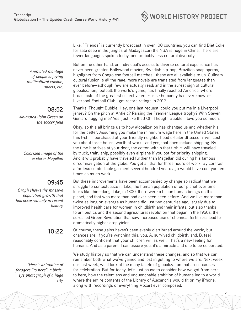$\Im$  world history project

Like, "Friends" is currently broadcast in over 100 countries; you can find Diet Coke for sale deep in the jungles of Madagascar; the NBA is huge in China. There are fewer languages spoken today, and probably less cultural diversity.

But on the other hand, an individual's access to diverse cultural experience has never been greater. Bollywood movies, Swedish hip-hop, Brazilian soap operas, highlights from Congolese football matches—these are all available to us. Culinary cultural fusion is all the rage; more novels are translated from languages than ever before—although few are actually read; and in the surest sign of cultural globalization, football, the world's game, has finally reached America, where broadcasts of the greatest collective enterprise humanity has ever known— Liverpool Football Club—got record ratings in 2012.

Thanks, Thought Bubble. Hey, one last request: could you put me in a Liverpool jersey? On the pitch at Anfield? Raising the Premier League trophy? With Steven Gerrard hugging me? Yes, just like that! Oh, Thought Bubble, I love you so much.

Okay, so this all brings us to how globalization has changed us and whether it's for the better. Assuming you make the minimum wage here in the United States, this t-shirt, purchased at your friendly neighborhood e-tailer dftba.com, will cost you about three hours' worth of work—and yes, that does include shipping. By the time it arrives at your door, the cotton within that t-shirt will have traveled by truck, train, ship, possibly even airplane if you opt for priority shipping. And it will probably have traveled further than Magellan did during his famous circumnavigation of the globe. You get all that for three hours of work. By contrast, a far less comfortable garment several hundred years ago would have cost you ten times as much work.

But these improvements have been accompanied by change so radical that we struggle to contextualize it. Like, the human population of our planet over time looks like this—dang. Like, in 1800, there were a billion human beings on this planet, and that was more than had ever been seen before. And we live more than twice as long on average as humans did just two centuries ago, largely due to improved health care for women in childbirth and their infants, but also thanks to antibiotics and the second agricultural revolution that began in the 1950s, the so-called Green Revolution that saw increased use of chemical fertilizers lead to dramatically higher crop yields.

Of course, these gains haven't been evenly distributed around the world, but chances are, if you're watching this, you, A, survived childbirth, and, B, feel reasonably confident that your children will as well. That's a new feeling for humans. And as a parent, I can assure you, it's a miracle and one to be celebrated.

We study history so that we can understand these changes, and so that we can remember both what we've gained and lost in getting to where we are. Next week, our last week, we'll look at the many facets of globalization that aren't causes for celebration. But for today, let's just pause to consider how we got from here to here, how the relentless and unquenchable ambition of humans led to a world where the entire contents of the Library of Alexandria would fit on my iPhone, along with recordings of everything Mozart ever composed.

5

*Animated montage of people enjoying multicultural cuisine, sports, etc.* 

## **08:52**

*Animated John Green on the soccer field*

*Colorized image of the explorer Magellan*

## **09:45**

*Graph shows the massive population growth that has occurred only in recent history*

## **10:22**

*"Here": animation of foragers "to here": a birdseye photograph of a huge city*